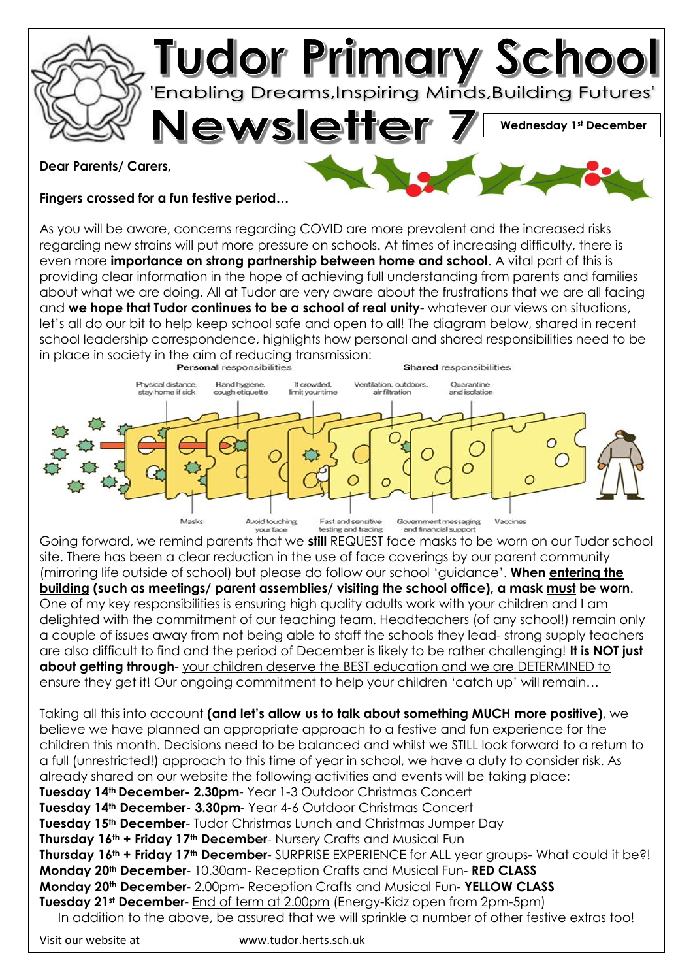

## **Dear Parents/ Carers,**

**Fingers crossed for a fun festive period…**

As you will be aware, concerns regarding COVID are more prevalent and the increased risks regarding new strains will put more pressure on schools. At times of increasing difficulty, there is even more **importance on strong partnership between home and school**. A vital part of this is providing clear information in the hope of achieving full understanding from parents and families about what we are doing. All at Tudor are very aware about the frustrations that we are all facing and **we hope that Tudor continues to be a school of real unity**- whatever our views on situations, let's all do our bit to help keep school safe and open to all! The diagram below, shared in recent school leadership correspondence, highlights how personal and shared responsibilities need to be in place in society in the aim of reducing transmission:<br>**Personal responsibilities** 



Going forward, we remind parents that we **still** REQUEST face masks to be worn on our Tudor school site. There has been a clear reduction in the use of face coverings by our parent community (mirroring life outside of school) but please do follow our school 'guidance'. **When entering the building (such as meetings/ parent assemblies/ visiting the school office), a mask must be worn**. One of my key responsibilities is ensuring high quality adults work with your children and I am delighted with the commitment of our teaching team. Headteachers (of any school!) remain only a couple of issues away from not being able to staff the schools they lead- strong supply teachers are also difficult to find and the period of December is likely to be rather challenging! **It is NOT just about getting through**- your children deserve the BEST education and we are DETERMINED to ensure they get it! Our ongoing commitment to help your children 'catch up' will remain…

Taking all this into account **(and let's allow us to talk about something MUCH more positive)**, we believe we have planned an appropriate approach to a festive and fun experience for the children this month. Decisions need to be balanced and whilst we STILL look forward to a return to a full (unrestricted!) approach to this time of year in school, we have a duty to consider risk. As already shared on our website the following activities and events will be taking place: **Tuesday 14th December- 2.30pm**- Year 1-3 Outdoor Christmas Concert **Tuesday 14th December- 3.30pm**- Year 4-6 Outdoor Christmas Concert **Tuesday 15th December**- Tudor Christmas Lunch and Christmas Jumper Day **Thursday 16th + Friday 17th December**- Nursery Crafts and Musical Fun **Thursday 16th + Friday 17th December**- SURPRISE EXPERIENCE for ALL year groups- What could it be?! **Monday 20th December**- 10.30am- Reception Crafts and Musical Fun- **RED CLASS Monday 20th December**- 2.00pm- Reception Crafts and Musical Fun- **YELLOW CLASS Tuesday 21st December**- End of term at 2.00pm (Energy-Kidz open from 2pm-5pm)

In addition to the above, be assured that we will sprinkle a number of other festive extras too!